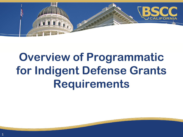

# **Overview of Programmatic for Indigent Defense Grants Requirements**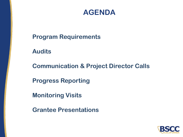### **AGENDA**

**Program Requirements**

**Audits**

**Communication & Project Director Calls**

**Progress Reporting** 

**Monitoring Visits**

**Grantee Presentations**

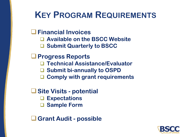## **KEY PROGRAM REQUIREMENTS**

#### ❑**Financial Invoices**

- ❑ **Available on the BSCC Website**
- ❑ **Submit Quarterly to BSCC**

#### ❑**Progress Reports**

- ❑ **Technical Assistance/Evaluator**
- ❑ **Submit bi-annually to OSPD**
- ❑ **Comply with grant requirements**

### ❑**Site Visits - potential**

- ❑ **Expectations**
- ❑ **Sample Form**

❑**Grant Audit - possible**

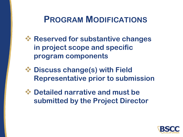### **PROGRAM MODIFICATIONS**

- ❖ **Reserved for substantive changes in project scope and specific program components**
- ❖ **Discuss change(s) with Field Representative prior to submission**
- ❖ **Detailed narrative and must be submitted by the Project Director**

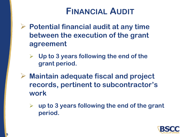## **FINANCIAL AUDIT**

➢ **Potential financial audit at any time between the execution of the grant agreement** 

- ➢ **Up to 3 years following the end of the grant period.**
- ➢ **Maintain adequate fiscal and project records, pertinent to subcontractor's work** 
	- ➢ **up to 3 years following the end of the grant period.**

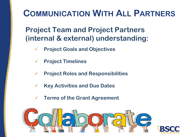## **COMMUNICATION WITH ALL PARTNERS**

**Project Team and Project Partners (internal & external) understanding:**

- ✓ **Project Goals and Objectives**
- ✓ **Project Timelines**
- ✓ **Project Roles and Responsibilities**
- ✓ **Key Activities and Due Dates**
- ✓ **Terms of the Grant Agreement**



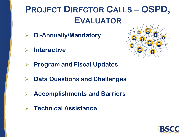## **PROJECT DIRECTOR CALLS – OSPD, EVALUATOR**

- ➢ **Bi-Annually/Mandatory**
- ➢ **Interactive**



- ➢ **Program and Fiscal Updates**
- ➢ **Data Questions and Challenges**
- ➢ **Accomplishments and Barriers**
- ➢ **Technical Assistance**

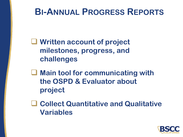## **BI-ANNUAL PROGRESS REPORTS**

❑ **Written account of project milestones, progress, and challenges**

❑ **Main tool for communicating with the OSPD & Evaluator about project**

❑ **Collect Quantitative and Qualitative Variables**

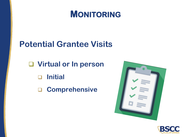## **MONITORING**

### **Potential Grantee Visits**

❑ **Virtual or In person** ❑ **Initial** ❑ **Comprehensive**



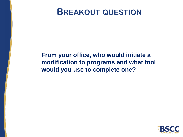### **BREAKOUT QUESTION**

### **From your office, who would initiate a modification to programs and what tool would you use to complete one?**

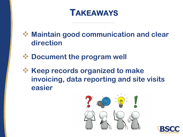## **TAKEAWAYS**

❖ **Maintain good communication and clear direction**

- ❖ **Document the program well**
- ❖ **Keep records organized to make invoicing, data reporting and site visits easier**